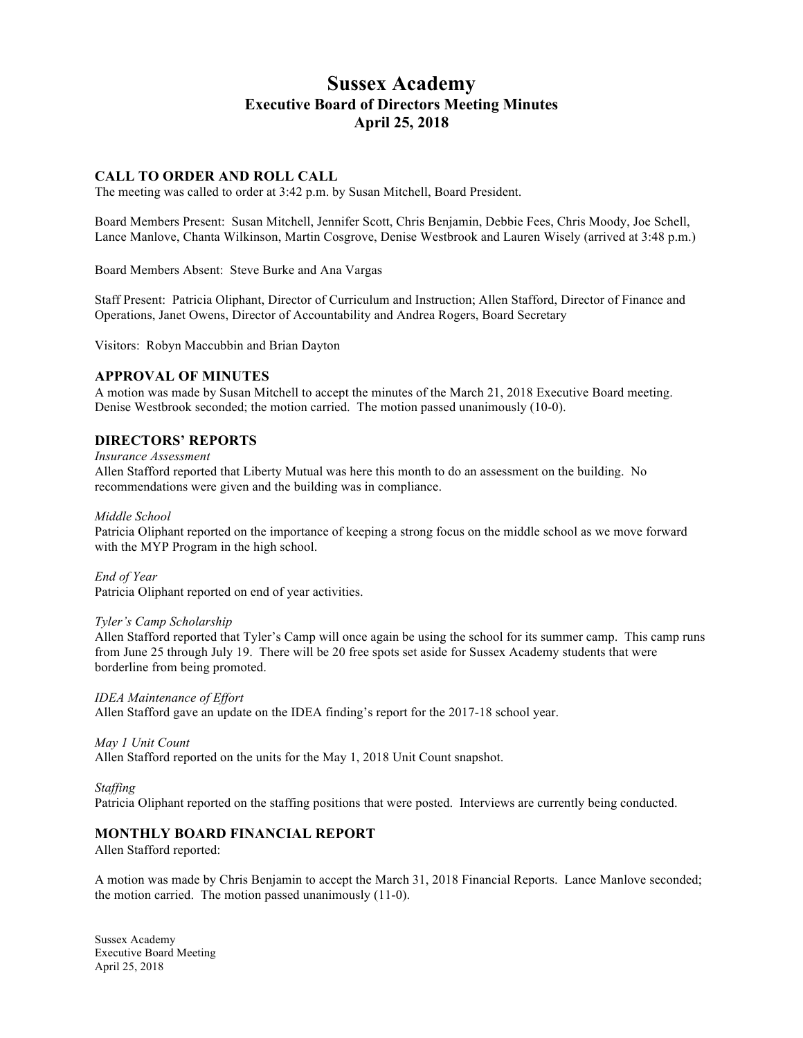# **Sussex Academy Executive Board of Directors Meeting Minutes April 25, 2018**

#### **CALL TO ORDER AND ROLL CALL**

The meeting was called to order at 3:42 p.m. by Susan Mitchell, Board President.

Board Members Present: Susan Mitchell, Jennifer Scott, Chris Benjamin, Debbie Fees, Chris Moody, Joe Schell, Lance Manlove, Chanta Wilkinson, Martin Cosgrove, Denise Westbrook and Lauren Wisely (arrived at 3:48 p.m.)

Board Members Absent: Steve Burke and Ana Vargas

Staff Present: Patricia Oliphant, Director of Curriculum and Instruction; Allen Stafford, Director of Finance and Operations, Janet Owens, Director of Accountability and Andrea Rogers, Board Secretary

Visitors: Robyn Maccubbin and Brian Dayton

#### **APPROVAL OF MINUTES**

A motion was made by Susan Mitchell to accept the minutes of the March 21, 2018 Executive Board meeting. Denise Westbrook seconded; the motion carried. The motion passed unanimously (10-0).

#### **DIRECTORS' REPORTS**

*Insurance Assessment* 

Allen Stafford reported that Liberty Mutual was here this month to do an assessment on the building. No recommendations were given and the building was in compliance.

*Middle School*

Patricia Oliphant reported on the importance of keeping a strong focus on the middle school as we move forward with the MYP Program in the high school.

*End of Year* Patricia Oliphant reported on end of year activities.

#### *Tyler's Camp Scholarship*

Allen Stafford reported that Tyler's Camp will once again be using the school for its summer camp. This camp runs from June 25 through July 19. There will be 20 free spots set aside for Sussex Academy students that were borderline from being promoted.

*IDEA Maintenance of Effort* Allen Stafford gave an update on the IDEA finding's report for the 2017-18 school year.

*May 1 Unit Count*

Allen Stafford reported on the units for the May 1, 2018 Unit Count snapshot.

#### *Staffing*

Patricia Oliphant reported on the staffing positions that were posted. Interviews are currently being conducted.

#### **MONTHLY BOARD FINANCIAL REPORT**

Allen Stafford reported:

A motion was made by Chris Benjamin to accept the March 31, 2018 Financial Reports. Lance Manlove seconded; the motion carried. The motion passed unanimously (11-0).

Sussex Academy Executive Board Meeting April 25, 2018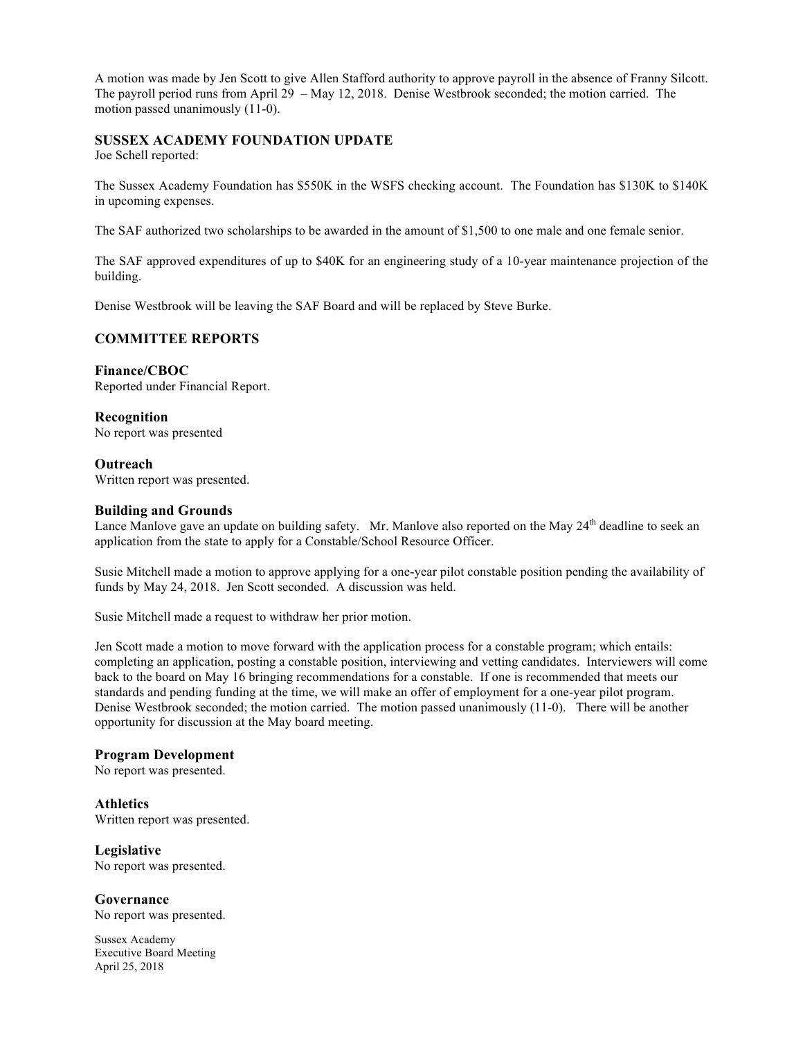A motion was made by Jen Scott to give Allen Stafford authority to approve payroll in the absence of Franny Silcott. The payroll period runs from April 29 – May 12, 2018. Denise Westbrook seconded; the motion carried. The motion passed unanimously (11-0).

## **SUSSEX ACADEMY FOUNDATION UPDATE**

Joe Schell reported:

The Sussex Academy Foundation has \$550K in the WSFS checking account. The Foundation has \$130K to \$140K in upcoming expenses.

The SAF authorized two scholarships to be awarded in the amount of \$1,500 to one male and one female senior.

The SAF approved expenditures of up to \$40K for an engineering study of a 10-year maintenance projection of the building.

Denise Westbrook will be leaving the SAF Board and will be replaced by Steve Burke.

## **COMMITTEE REPORTS**

**Finance/CBOC** Reported under Financial Report.

**Recognition** No report was presented

**Outreach** Written report was presented.

#### **Building and Grounds**

Lance Manlove gave an update on building safety. Mr. Manlove also reported on the May 24<sup>th</sup> deadline to seek an application from the state to apply for a Constable/School Resource Officer.

Susie Mitchell made a motion to approve applying for a one-year pilot constable position pending the availability of funds by May 24, 2018. Jen Scott seconded. A discussion was held.

Susie Mitchell made a request to withdraw her prior motion.

Jen Scott made a motion to move forward with the application process for a constable program; which entails: completing an application, posting a constable position, interviewing and vetting candidates. Interviewers will come back to the board on May 16 bringing recommendations for a constable. If one is recommended that meets our standards and pending funding at the time, we will make an offer of employment for a one-year pilot program. Denise Westbrook seconded; the motion carried. The motion passed unanimously (11-0). There will be another opportunity for discussion at the May board meeting.

#### **Program Development**

No report was presented.

**Athletics** Written report was presented.

**Legislative** No report was presented.

**Governance** No report was presented.

Sussex Academy Executive Board Meeting April 25, 2018